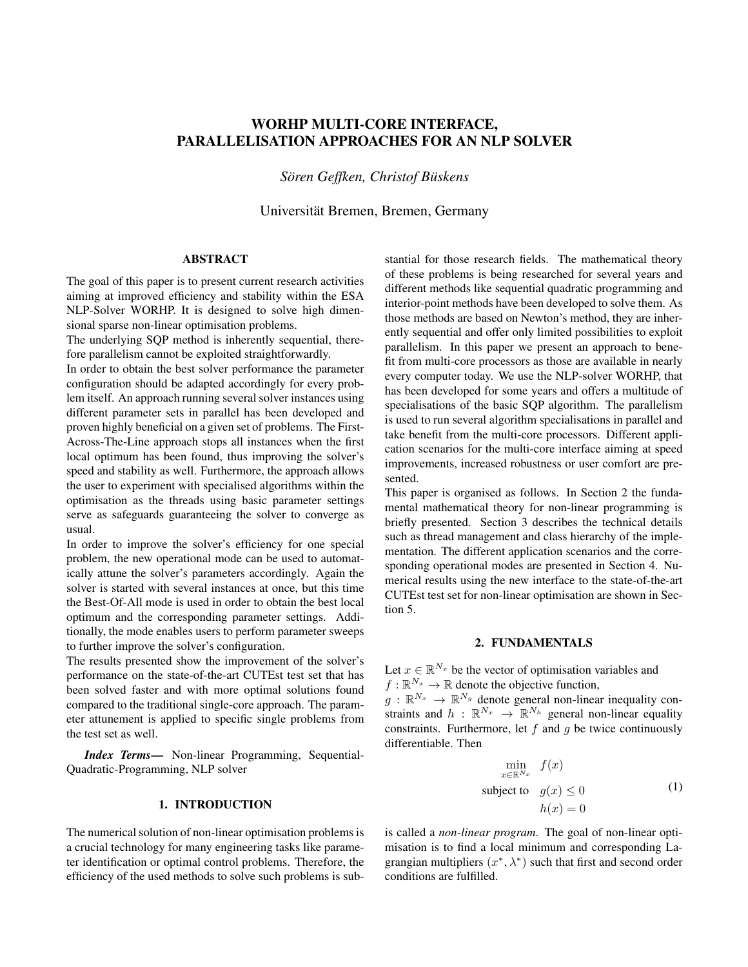# WORHP MULTI-CORE INTERFACE, PARALLELISATION APPROACHES FOR AN NLP SOLVER

 $Sören Geffken$ *, Christof Büskens* 

Universität Bremen, Bremen, Germany

# ABSTRACT

The goal of this paper is to present current research activities aiming at improved efficiency and stability within the ESA NLP-Solver WORHP. It is designed to solve high dimensional sparse non-linear optimisation problems.

The underlying SQP method is inherently sequential, therefore parallelism cannot be exploited straightforwardly.

In order to obtain the best solver performance the parameter configuration should be adapted accordingly for every problem itself. An approach running several solver instances using different parameter sets in parallel has been developed and proven highly beneficial on a given set of problems. The First-Across-The-Line approach stops all instances when the first local optimum has been found, thus improving the solver's speed and stability as well. Furthermore, the approach allows the user to experiment with specialised algorithms within the optimisation as the threads using basic parameter settings serve as safeguards guaranteeing the solver to converge as usual.

In order to improve the solver's efficiency for one special problem, the new operational mode can be used to automatically attune the solver's parameters accordingly. Again the solver is started with several instances at once, but this time the Best-Of-All mode is used in order to obtain the best local optimum and the corresponding parameter settings. Additionally, the mode enables users to perform parameter sweeps to further improve the solver's configuration.

The results presented show the improvement of the solver's performance on the state-of-the-art CUTEst test set that has been solved faster and with more optimal solutions found compared to the traditional single-core approach. The parameter attunement is applied to specific single problems from the test set as well.

*Index Terms*— Non-linear Programming, Sequential-Quadratic-Programming, NLP solver

# 1. INTRODUCTION

The numerical solution of non-linear optimisation problems is a crucial technology for many engineering tasks like parameter identification or optimal control problems. Therefore, the efficiency of the used methods to solve such problems is substantial for those research fields. The mathematical theory of these problems is being researched for several years and different methods like sequential quadratic programming and interior-point methods have been developed to solve them. As those methods are based on Newton's method, they are inherently sequential and offer only limited possibilities to exploit parallelism. In this paper we present an approach to benefit from multi-core processors as those are available in nearly every computer today. We use the NLP-solver WORHP, that has been developed for some years and offers a multitude of specialisations of the basic SQP algorithm. The parallelism is used to run several algorithm specialisations in parallel and take benefit from the multi-core processors. Different application scenarios for the multi-core interface aiming at speed improvements, increased robustness or user comfort are presented.

This paper is organised as follows. In Section 2 the fundamental mathematical theory for non-linear programming is briefly presented. Section 3 describes the technical details such as thread management and class hierarchy of the implementation. The different application scenarios and the corresponding operational modes are presented in Section 4. Numerical results using the new interface to the state-of-the-art CUTEst test set for non-linear optimisation are shown in Section 5.

# 2. FUNDAMENTALS

Let  $x \in \mathbb{R}^{N_x}$  be the vector of optimisation variables and  $f: \mathbb{R}^{N_x} \to \mathbb{R}$  denote the objective function,

 $g: \mathbb{R}^{N_x} \to \mathbb{R}^{N_g}$  denote general non-linear inequality constraints and  $h : \mathbb{R}^{N_x} \to \mathbb{R}^{N_h}$  general non-linear equality constraints. Furthermore, let  $f$  and  $q$  be twice continuously differentiable. Then

$$
\min_{x \in \mathbb{R}^{N_x}} f(x)
$$
\nsubject to  $g(x) \le 0$ \n
$$
h(x) = 0
$$
\n(1)

is called a *non-linear program*. The goal of non-linear optimisation is to find a local minimum and corresponding Lagrangian multipliers  $(x^*, \lambda^*)$  such that first and second order conditions are fulfilled.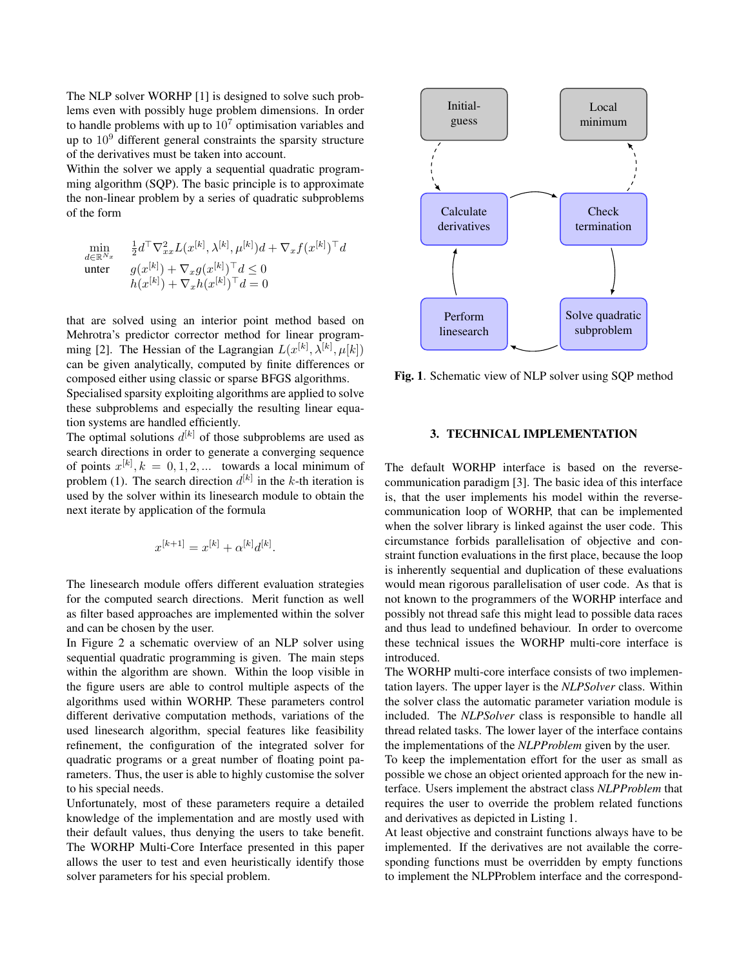The NLP solver WORHP [1] is designed to solve such problems even with possibly huge problem dimensions. In order to handle problems with up to  $10<sup>7</sup>$  optimisation variables and up to 10<sup>9</sup> different general constraints the sparsity structure of the derivatives must be taken into account.

Within the solver we apply a sequential quadratic programming algorithm (SQP). The basic principle is to approximate the non-linear problem by a series of quadratic subproblems of the form

$$
\min_{\substack{d \in \mathbb{R}^{N_x} \\ \text{unter}}} \quad \frac{\frac{1}{2} d^\top \nabla_{xx}^2 L(x^{[k]}, \lambda^{[k]}, \mu^{[k]}) d + \nabla_x f(x^{[k]})^\top d}{g(x^{[k]}) + \nabla_x g(x^{[k]})^\top d} \le 0
$$
\n
$$
h(x^{[k]}) + \nabla_x h(x^{[k]})^\top d = 0
$$

that are solved using an interior point method based on Mehrotra's predictor corrector method for linear programming [2]. The Hessian of the Lagrangian  $L(x^{[k]}, \lambda^{[k]}, \mu[k])$ can be given analytically, computed by finite differences or composed either using classic or sparse BFGS algorithms.

Specialised sparsity exploiting algorithms are applied to solve these subproblems and especially the resulting linear equation systems are handled efficiently.

The optimal solutions  $d^{[k]}$  of those subproblems are used as search directions in order to generate a converging sequence of points  $x^{[k]}$ ,  $k = 0, 1, 2, ...$  towards a local minimum of problem (1). The search direction  $d^{[k]}$  in the k-th iteration is used by the solver within its linesearch module to obtain the next iterate by application of the formula

$$
x^{[k+1]} = x^{[k]} + \alpha^{[k]}d^{[k]}.
$$

The linesearch module offers different evaluation strategies for the computed search directions. Merit function as well as filter based approaches are implemented within the solver and can be chosen by the user.

In Figure 2 a schematic overview of an NLP solver using sequential quadratic programming is given. The main steps within the algorithm are shown. Within the loop visible in the figure users are able to control multiple aspects of the algorithms used within WORHP. These parameters control different derivative computation methods, variations of the used linesearch algorithm, special features like feasibility refinement, the configuration of the integrated solver for quadratic programs or a great number of floating point parameters. Thus, the user is able to highly customise the solver to his special needs.

Unfortunately, most of these parameters require a detailed knowledge of the implementation and are mostly used with their default values, thus denying the users to take benefit. The WORHP Multi-Core Interface presented in this paper allows the user to test and even heuristically identify those solver parameters for his special problem.



Fig. 1. Schematic view of NLP solver using SQP method

#### 3. TECHNICAL IMPLEMENTATION

The default WORHP interface is based on the reversecommunication paradigm [3]. The basic idea of this interface is, that the user implements his model within the reversecommunication loop of WORHP, that can be implemented when the solver library is linked against the user code. This circumstance forbids parallelisation of objective and constraint function evaluations in the first place, because the loop is inherently sequential and duplication of these evaluations would mean rigorous parallelisation of user code. As that is not known to the programmers of the WORHP interface and possibly not thread safe this might lead to possible data races and thus lead to undefined behaviour. In order to overcome these technical issues the WORHP multi-core interface is introduced.

The WORHP multi-core interface consists of two implementation layers. The upper layer is the *NLPSolver* class. Within the solver class the automatic parameter variation module is included. The *NLPSolver* class is responsible to handle all thread related tasks. The lower layer of the interface contains the implementations of the *NLPProblem* given by the user.

To keep the implementation effort for the user as small as possible we chose an object oriented approach for the new interface. Users implement the abstract class *NLPProblem* that requires the user to override the problem related functions and derivatives as depicted in Listing 1.

At least objective and constraint functions always have to be implemented. If the derivatives are not available the corresponding functions must be overridden by empty functions to implement the NLPProblem interface and the correspond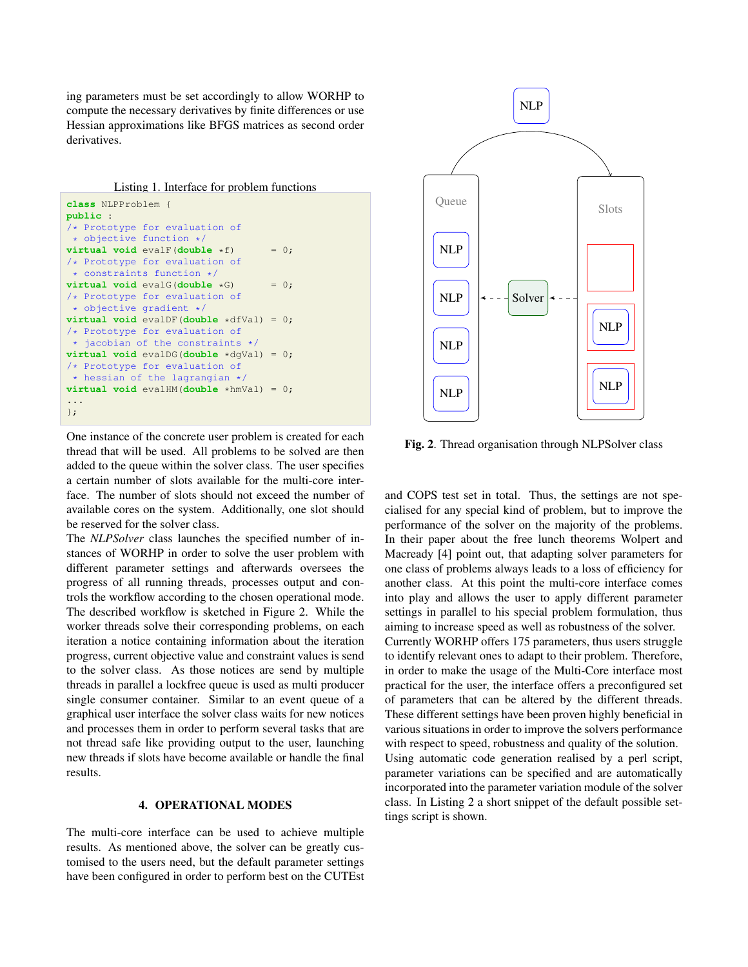ing parameters must be set accordingly to allow WORHP to compute the necessary derivatives by finite differences or use Hessian approximations like BFGS matrices as second order derivatives.

```
class NLPProblem {
public :
/* Prototype for evaluation of
 * objective function */
virtual void evalF(double *f) = 0;
/* Prototype for evaluation of
 * constraints function */
virtual void evalG(double \starG) = 0;
/* Prototype for evaluation of
 * objective gradient */
virtual void evalDF(double *dfVal) = 0;
/* Prototype for evaluation of
 * jacobian of the constraints */
virtual void evalDG(double *dgVal) = 0;
/* Prototype for evaluation of
 * hessian of the lagrangian */
virtual void evalHM(double *hmVal) = 0;
...
};
```
One instance of the concrete user problem is created for each thread that will be used. All problems to be solved are then added to the queue within the solver class. The user specifies a certain number of slots available for the multi-core interface. The number of slots should not exceed the number of available cores on the system. Additionally, one slot should be reserved for the solver class.

The *NLPSolver* class launches the specified number of instances of WORHP in order to solve the user problem with different parameter settings and afterwards oversees the progress of all running threads, processes output and controls the workflow according to the chosen operational mode. The described workflow is sketched in Figure 2. While the worker threads solve their corresponding problems, on each iteration a notice containing information about the iteration progress, current objective value and constraint values is send to the solver class. As those notices are send by multiple threads in parallel a lockfree queue is used as multi producer single consumer container. Similar to an event queue of a graphical user interface the solver class waits for new notices and processes them in order to perform several tasks that are not thread safe like providing output to the user, launching new threads if slots have become available or handle the final results.

# 4. OPERATIONAL MODES

The multi-core interface can be used to achieve multiple results. As mentioned above, the solver can be greatly customised to the users need, but the default parameter settings have been configured in order to perform best on the CUTEst



Fig. 2. Thread organisation through NLPSolver class

and COPS test set in total. Thus, the settings are not specialised for any special kind of problem, but to improve the performance of the solver on the majority of the problems. In their paper about the free lunch theorems Wolpert and Macready [4] point out, that adapting solver parameters for one class of problems always leads to a loss of efficiency for another class. At this point the multi-core interface comes into play and allows the user to apply different parameter settings in parallel to his special problem formulation, thus aiming to increase speed as well as robustness of the solver. Currently WORHP offers 175 parameters, thus users struggle to identify relevant ones to adapt to their problem. Therefore, in order to make the usage of the Multi-Core interface most practical for the user, the interface offers a preconfigured set of parameters that can be altered by the different threads. These different settings have been proven highly beneficial in various situations in order to improve the solvers performance with respect to speed, robustness and quality of the solution. Using automatic code generation realised by a perl script, parameter variations can be specified and are automatically incorporated into the parameter variation module of the solver class. In Listing 2 a short snippet of the default possible settings script is shown.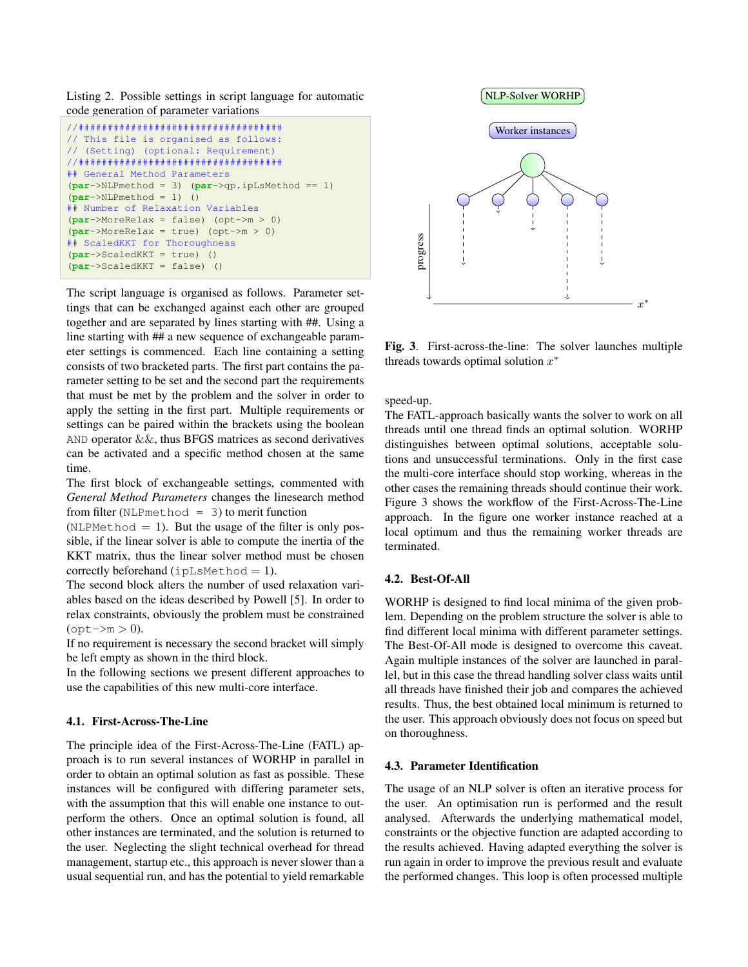Listing 2. Possible settings in script language for automatic code generation of parameter variations

```
//###################################
// This file is organised as follows:
// (Setting) (optional: Requirement)
//###################################
## General Method Parameters
(par->NLPmethod = 3) (par->qp.ipLsMethod == 1)
(par->NLPmethod = 1) ()
## Number of Relaxation Variables
(par->MoreRelax = false) (opt->m > 0)
(par->MoreRelax = true) (opt->m > 0)
## ScaledKKT for Thoroughness
(par->ScaledKKT = true) ()
(par->ScaledKKT = false) ()
```
The script language is organised as follows. Parameter settings that can be exchanged against each other are grouped together and are separated by lines starting with ##. Using a line starting with ## a new sequence of exchangeable parameter settings is commenced. Each line containing a setting consists of two bracketed parts. The first part contains the parameter setting to be set and the second part the requirements that must be met by the problem and the solver in order to apply the setting in the first part. Multiple requirements or settings can be paired within the brackets using the boolean AND operator &&, thus BFGS matrices as second derivatives can be activated and a specific method chosen at the same time.

The first block of exchangeable settings, commented with *General Method Parameters* changes the linesearch method from filter (NLPmethod =  $3$ ) to merit function

(NLPMethod  $= 1$ ). But the usage of the filter is only possible, if the linear solver is able to compute the inertia of the KKT matrix, thus the linear solver method must be chosen correctly beforehand  $(i$ pLsMethod = 1).

The second block alters the number of used relaxation variables based on the ideas described by Powell [5]. In order to relax constraints, obviously the problem must be constrained  $(\text{opt} \rightarrow m > 0).$ 

If no requirement is necessary the second bracket will simply be left empty as shown in the third block.

In the following sections we present different approaches to use the capabilities of this new multi-core interface.

# 4.1. First-Across-The-Line

The principle idea of the First-Across-The-Line (FATL) approach is to run several instances of WORHP in parallel in order to obtain an optimal solution as fast as possible. These instances will be configured with differing parameter sets, with the assumption that this will enable one instance to outperform the others. Once an optimal solution is found, all other instances are terminated, and the solution is returned to the user. Neglecting the slight technical overhead for thread management, startup etc., this approach is never slower than a usual sequential run, and has the potential to yield remarkable



Fig. 3. First-across-the-line: The solver launches multiple threads towards optimal solution  $x^*$ 

speed-up.

The FATL-approach basically wants the solver to work on all threads until one thread finds an optimal solution. WORHP distinguishes between optimal solutions, acceptable solutions and unsuccessful terminations. Only in the first case the multi-core interface should stop working, whereas in the other cases the remaining threads should continue their work. Figure 3 shows the workflow of the First-Across-The-Line approach. In the figure one worker instance reached at a local optimum and thus the remaining worker threads are terminated.

### 4.2. Best-Of-All

WORHP is designed to find local minima of the given problem. Depending on the problem structure the solver is able to find different local minima with different parameter settings. The Best-Of-All mode is designed to overcome this caveat. Again multiple instances of the solver are launched in parallel, but in this case the thread handling solver class waits until all threads have finished their job and compares the achieved results. Thus, the best obtained local minimum is returned to the user. This approach obviously does not focus on speed but on thoroughness.

# 4.3. Parameter Identification

The usage of an NLP solver is often an iterative process for the user. An optimisation run is performed and the result analysed. Afterwards the underlying mathematical model, constraints or the objective function are adapted according to the results achieved. Having adapted everything the solver is run again in order to improve the previous result and evaluate the performed changes. This loop is often processed multiple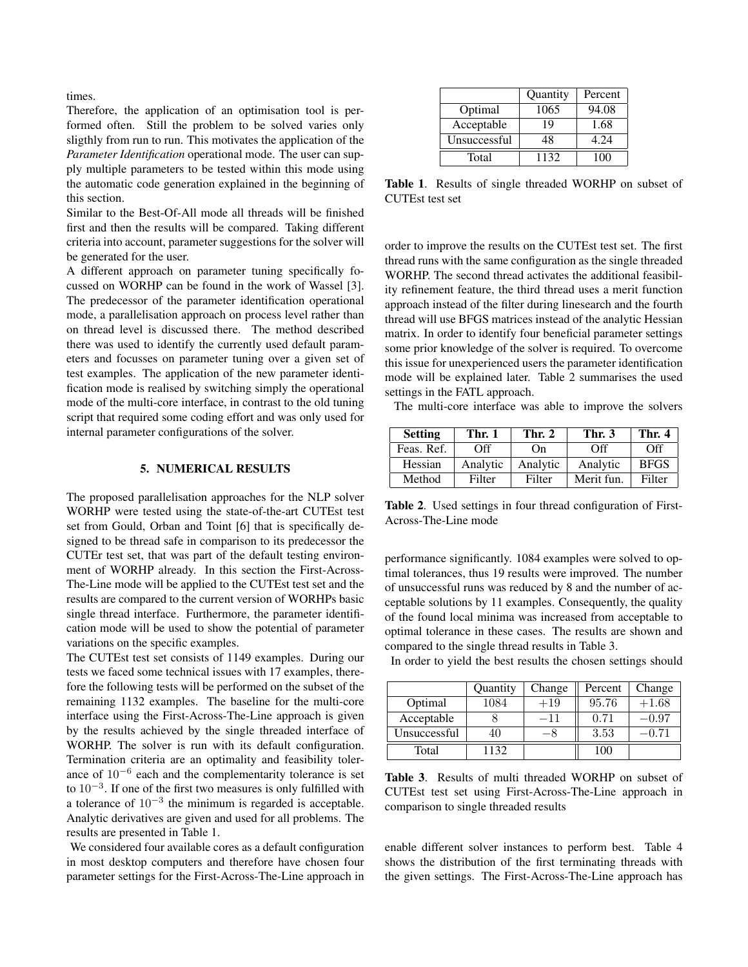times.

Therefore, the application of an optimisation tool is performed often. Still the problem to be solved varies only sligthly from run to run. This motivates the application of the *Parameter Identification* operational mode. The user can supply multiple parameters to be tested within this mode using the automatic code generation explained in the beginning of this section.

Similar to the Best-Of-All mode all threads will be finished first and then the results will be compared. Taking different criteria into account, parameter suggestions for the solver will be generated for the user.

A different approach on parameter tuning specifically focussed on WORHP can be found in the work of Wassel [3]. The predecessor of the parameter identification operational mode, a parallelisation approach on process level rather than on thread level is discussed there. The method described there was used to identify the currently used default parameters and focusses on parameter tuning over a given set of test examples. The application of the new parameter identification mode is realised by switching simply the operational mode of the multi-core interface, in contrast to the old tuning script that required some coding effort and was only used for internal parameter configurations of the solver.

# 5. NUMERICAL RESULTS

The proposed parallelisation approaches for the NLP solver WORHP were tested using the state-of-the-art CUTEst test set from Gould, Orban and Toint [6] that is specifically designed to be thread safe in comparison to its predecessor the CUTEr test set, that was part of the default testing environment of WORHP already. In this section the First-Across-The-Line mode will be applied to the CUTEst test set and the results are compared to the current version of WORHPs basic single thread interface. Furthermore, the parameter identification mode will be used to show the potential of parameter variations on the specific examples.

The CUTEst test set consists of 1149 examples. During our tests we faced some technical issues with 17 examples, therefore the following tests will be performed on the subset of the remaining 1132 examples. The baseline for the multi-core interface using the First-Across-The-Line approach is given by the results achieved by the single threaded interface of WORHP. The solver is run with its default configuration. Termination criteria are an optimality and feasibility tolerance of  $10^{-6}$  each and the complementarity tolerance is set to  $10^{-3}$ . If one of the first two measures is only fulfilled with a tolerance of  $10^{-3}$  the minimum is regarded is acceptable. Analytic derivatives are given and used for all problems. The results are presented in Table 1.

We considered four available cores as a default configuration in most desktop computers and therefore have chosen four parameter settings for the First-Across-The-Line approach in

|              | Quantity | Percent |
|--------------|----------|---------|
| Optimal      | 1065     | 94.08   |
| Acceptable   | 19       | 1.68    |
| Unsuccessful | 48       | 4.24    |
| Total        | 1132     | 100     |

Table 1. Results of single threaded WORHP on subset of CUTEst test set

order to improve the results on the CUTEst test set. The first thread runs with the same configuration as the single threaded WORHP. The second thread activates the additional feasibility refinement feature, the third thread uses a merit function approach instead of the filter during linesearch and the fourth thread will use BFGS matrices instead of the analytic Hessian matrix. In order to identify four beneficial parameter settings some prior knowledge of the solver is required. To overcome this issue for unexperienced users the parameter identification mode will be explained later. Table 2 summarises the used settings in the FATL approach.

The multi-core interface was able to improve the solvers

| <b>Setting</b> | Thr. 1   | Thr. 2   | Thr. 3     | Thr. 4      |
|----------------|----------|----------|------------|-------------|
| Feas. Ref.     | Off      | On.      | Off        | Off         |
| Hessian        | Analytic | Analytic | Analytic   | <b>BFGS</b> |
| Method         | Filter   | Filter   | Merit fun. | Filter      |

Table 2. Used settings in four thread configuration of First-Across-The-Line mode

performance significantly. 1084 examples were solved to optimal tolerances, thus 19 results were improved. The number of unsuccessful runs was reduced by 8 and the number of acceptable solutions by 11 examples. Consequently, the quality of the found local minima was increased from acceptable to optimal tolerance in these cases. The results are shown and compared to the single thread results in Table 3.

|              | Quantity | Change | Percent | Change  |
|--------------|----------|--------|---------|---------|
| Optimal      | 1084     | $+19$  | 95.76   | $+1.68$ |
| Acceptable   |          | –11    | 0.71    | $-0.97$ |
| Unsuccessful | 40       |        | 3.53    | า 71    |
| Total        | 1132.    |        | 100     |         |

In order to yield the best results the chosen settings should

Table 3. Results of multi threaded WORHP on subset of CUTEst test set using First-Across-The-Line approach in comparison to single threaded results

enable different solver instances to perform best. Table 4 shows the distribution of the first terminating threads with the given settings. The First-Across-The-Line approach has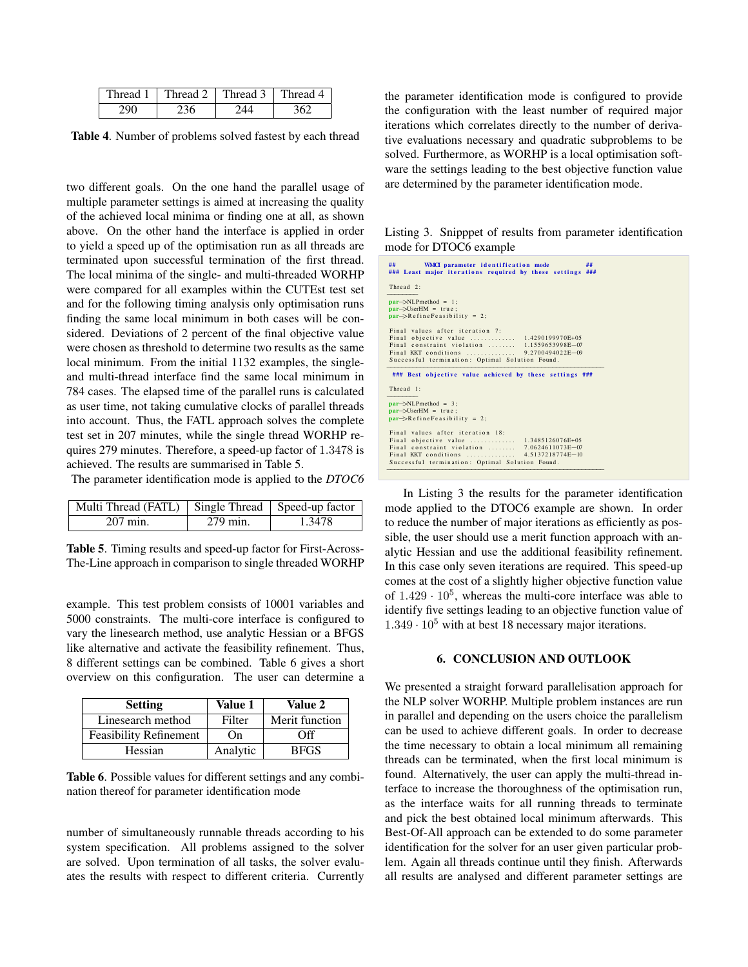| Thread 1 | Thread 2 | Thread 3 | Thread 4 |
|----------|----------|----------|----------|
|          |          |          |          |

Table 4. Number of problems solved fastest by each thread

two different goals. On the one hand the parallel usage of multiple parameter settings is aimed at increasing the quality of the achieved local minima or finding one at all, as shown above. On the other hand the interface is applied in order to yield a speed up of the optimisation run as all threads are terminated upon successful termination of the first thread. The local minima of the single- and multi-threaded WORHP were compared for all examples within the CUTEst test set and for the following timing analysis only optimisation runs finding the same local minimum in both cases will be considered. Deviations of 2 percent of the final objective value were chosen as threshold to determine two results as the same local minimum. From the initial 1132 examples, the singleand multi-thread interface find the same local minimum in 784 cases. The elapsed time of the parallel runs is calculated as user time, not taking cumulative clocks of parallel threads into account. Thus, the FATL approach solves the complete test set in 207 minutes, while the single thread WORHP requires 279 minutes. Therefore, a speed-up factor of 1.3478 is achieved. The results are summarised in Table 5.

The parameter identification mode is applied to the *DTOC6*

| Multi Thread (FATL)   Single Thread   Speed-up factor |          |        |
|-------------------------------------------------------|----------|--------|
| $207$ min.                                            | 279 min. | 1.3478 |

Table 5. Timing results and speed-up factor for First-Across-The-Line approach in comparison to single threaded WORHP

example. This test problem consists of 10001 variables and 5000 constraints. The multi-core interface is configured to vary the linesearch method, use analytic Hessian or a BFGS like alternative and activate the feasibility refinement. Thus, 8 different settings can be combined. Table 6 gives a short overview on this configuration. The user can determine a

| <b>Setting</b>                | Value 1  | <b>Value 2</b> |
|-------------------------------|----------|----------------|
| Linesearch method             | Filter   | Merit function |
| <b>Feasibility Refinement</b> | On       | Off            |
| Hessian                       | Analytic | <b>BFGS</b>    |

Table 6. Possible values for different settings and any combination thereof for parameter identification mode

number of simultaneously runnable threads according to his system specification. All problems assigned to the solver are solved. Upon termination of all tasks, the solver evaluates the results with respect to different criteria. Currently

the parameter identification mode is configured to provide the configuration with the least number of required major iterations which correlates directly to the number of derivative evaluations necessary and quadratic subproblems to be solved. Furthermore, as WORHP is a local optimisation software the settings leading to the best objective function value are determined by the parameter identification mode.

Listing 3. Snipppet of results from parameter identification mode for DTOC6 example

| Thread 2:<br>$par$ $>>$ NLPmethod = 1;<br>$par$ $\rightarrow$ UserHM = true;<br>$par \rightarrow$ RefineFeasibility = 2;<br>Final values after iteration 7:<br>Final objective value  1.4290199970E+05<br>Final constraint violation<br>1.1559653998E-07<br>Final KKT conditions  9.2700494022E-09<br>Successful termination: Optimal Solution Found.<br>### Best objective value achieved by these settings ###<br>Thread 1:<br>$par \rightarrow NLP$ method = 3;<br>$par$ $\rightarrow$ UserHM = true;<br>$par \rightarrow$ RefineFeasibility = 2;<br>Final values after iteration 18:<br>Final objective value  1.3485126076E+05<br>Final constraint violation<br>7.0624611073E-07<br>4.5137218774E-10<br>Final KKT conditions<br>Successful termination: Optimal Solution Found. | ##<br>##<br>WMCI parameter identification mode<br>### Least major iterations required by these settings ### |
|--------------------------------------------------------------------------------------------------------------------------------------------------------------------------------------------------------------------------------------------------------------------------------------------------------------------------------------------------------------------------------------------------------------------------------------------------------------------------------------------------------------------------------------------------------------------------------------------------------------------------------------------------------------------------------------------------------------------------------------------------------------------------------------|-------------------------------------------------------------------------------------------------------------|
|                                                                                                                                                                                                                                                                                                                                                                                                                                                                                                                                                                                                                                                                                                                                                                                      |                                                                                                             |
|                                                                                                                                                                                                                                                                                                                                                                                                                                                                                                                                                                                                                                                                                                                                                                                      |                                                                                                             |
|                                                                                                                                                                                                                                                                                                                                                                                                                                                                                                                                                                                                                                                                                                                                                                                      |                                                                                                             |
|                                                                                                                                                                                                                                                                                                                                                                                                                                                                                                                                                                                                                                                                                                                                                                                      |                                                                                                             |
|                                                                                                                                                                                                                                                                                                                                                                                                                                                                                                                                                                                                                                                                                                                                                                                      |                                                                                                             |
|                                                                                                                                                                                                                                                                                                                                                                                                                                                                                                                                                                                                                                                                                                                                                                                      |                                                                                                             |
|                                                                                                                                                                                                                                                                                                                                                                                                                                                                                                                                                                                                                                                                                                                                                                                      |                                                                                                             |

In Listing 3 the results for the parameter identification mode applied to the DTOC6 example are shown. In order to reduce the number of major iterations as efficiently as possible, the user should use a merit function approach with analytic Hessian and use the additional feasibility refinement. In this case only seven iterations are required. This speed-up comes at the cost of a slightly higher objective function value of  $1.429 \cdot 10^5$ , whereas the multi-core interface was able to identify five settings leading to an objective function value of  $1.349 \cdot 10^5$  with at best 18 necessary major iterations.

# 6. CONCLUSION AND OUTLOOK

We presented a straight forward parallelisation approach for the NLP solver WORHP. Multiple problem instances are run in parallel and depending on the users choice the parallelism can be used to achieve different goals. In order to decrease the time necessary to obtain a local minimum all remaining threads can be terminated, when the first local minimum is found. Alternatively, the user can apply the multi-thread interface to increase the thoroughness of the optimisation run, as the interface waits for all running threads to terminate and pick the best obtained local minimum afterwards. This Best-Of-All approach can be extended to do some parameter identification for the solver for an user given particular problem. Again all threads continue until they finish. Afterwards all results are analysed and different parameter settings are